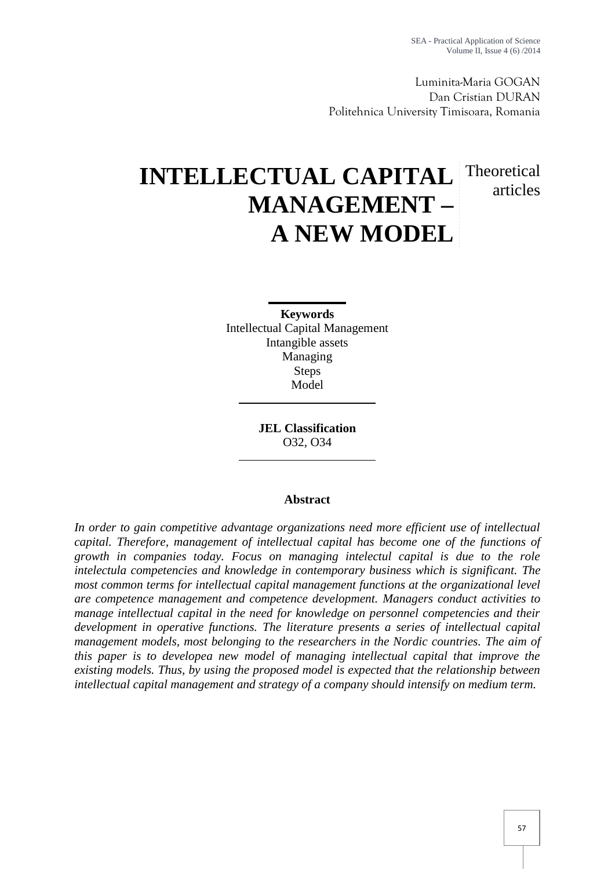Luminita-Maria GOGAN Dan Cristian DURAN Politehnica University Timisoara, Romania

# **INTELLECTUAL CAPITAL MANAGEMENT – A NEW MODEL** Theoretical articles

**Keywords** Intellectual Capital Management Intangible assets Managing Steps Model

> **JEL Classification** O32, O34

## **Abstract**

*In order to gain competitive advantage organizations need more efficient use of intellectual capital. Therefore, management of intellectual capital has become one of the functions of growth in companies today. Focus on managing intelectul capital is due to the role intelectula competencies and knowledge in contemporary business which is significant. The most common terms for intellectual capital management functions at the organizational level are competence management and competence development. Managers conduct activities to manage intellectual capital in the need for knowledge on personnel competencies and their development in operative functions. The literature presents a series of intellectual capital management models, most belonging to the researchers in the Nordic countries. The aim of this paper is to developea new model of managing intellectual capital that improve the existing models. Thus, by using the proposed model is expected that the relationship between intellectual capital management and strategy of a company should intensify on medium term.*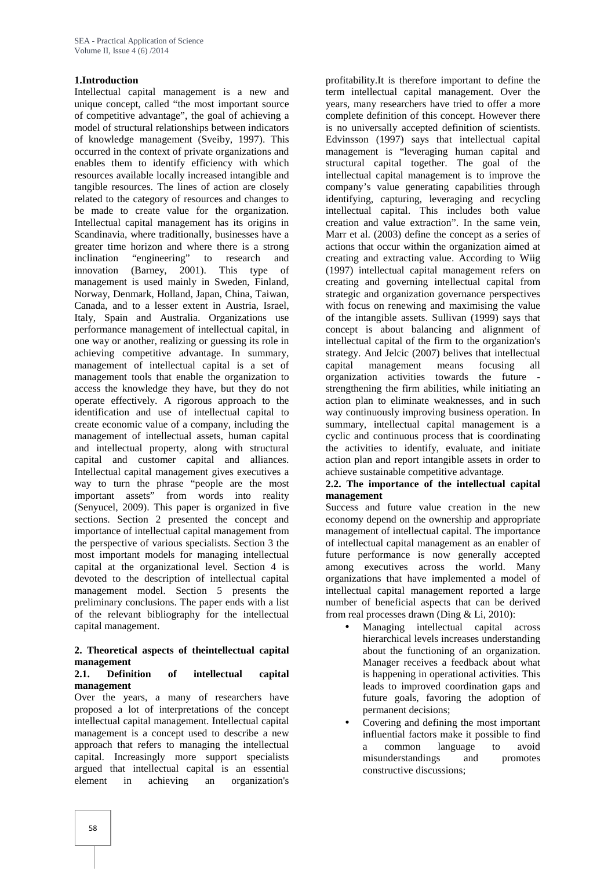## **1.Introduction**

Intellectual capital management is a new and unique concept, called "the most important source of competitive advantage", the goal of achieving a model of structural relationships between indicators of knowledge management (Sveiby, 1997). This occurred in the context of private organizations and enables them to identify efficiency with which resources available locally increased intangible and tangible resources. The lines of action are closely related to the category of resources and changes to be made to create value for the organization. Intellectual capital management has its origins in Scandinavia, where traditionally, businesses have a greater time horizon and where there is a strong inclination "engineering" to research and innovation (Barney, 2001). This type of management is used mainly in Sweden, Finland, Norway, Denmark, Holland, Japan, China, Taiwan, Canada, and to a lesser extent in Austria, Israel, Italy, Spain and Australia. Organizations use performance management of intellectual capital, in one way or another, realizing or guessing its role in achieving competitive advantage. In summary, management of intellectual capital is a set of management tools that enable the organization to access the knowledge they have, but they do not operate effectively. A rigorous approach to the identification and use of intellectual capital to create economic value of a company, including the management of intellectual assets, human capital and intellectual property, along with structural capital and customer capital and alliances. Intellectual capital management gives executives a way to turn the phrase "people are the most important assets" from words into reality (Senyucel, 2009). This paper is organized in five sections. Section 2 presented the concept and importance of intellectual capital management from the perspective of various specialists. Section 3 the most important models for managing intellectual capital at the organizational level. Section 4 is devoted to the description of intellectual capital management model. Section 5 presents the preliminary conclusions. The paper ends with a list of the relevant bibliography for the intellectual capital management.

#### **2. Theoretical aspects of theintellectual capital management**

#### **2.1. Definition of intellectual capital management**

Over the years, a many of researchers have proposed a lot of interpretations of the concept intellectual capital management. Intellectual capital management is a concept used to describe a new approach that refers to managing the intellectual capital. Increasingly more support specialists argued that intellectual capital is an essential element in achieving an organization's

profitability.It is therefore important to define the term intellectual capital management. Over the years, many researchers have tried to offer a more complete definition of this concept. However there is no universally accepted definition of scientists. Edvinsson (1997) says that intellectual capital management is "leveraging human capital and structural capital together. The goal of the intellectual capital management is to improve the company's value generating capabilities through identifying, capturing, leveraging and recycling intellectual capital. This includes both value creation and value extraction". In the same vein, Marr et al. (2003) define the concept as a series of actions that occur within the organization aimed at creating and extracting value. According to Wiig (1997) intellectual capital management refers on creating and governing intellectual capital from strategic and organization governance perspectives with focus on renewing and maximising the value of the intangible assets. Sullivan (1999) says that concept is about balancing and alignment of intellectual capital of the firm to the organization's strategy. And Jelcic (2007) belives that intellectual capital management means focusing all organization activities towards the future strengthening the firm abilities, while initiating an action plan to eliminate weaknesses, and in such way continuously improving business operation. In summary, intellectual capital management is a cyclic and continuous process that is coordinating the activities to identify, evaluate, and initiate action plan and report intangible assets in order to achieve sustainable competitive advantage.

#### **2.2. The importance of the intellectual capital management**

Success and future value creation in the new economy depend on the ownership and appropriate management of intellectual capital. The importance of intellectual capital management as an enabler of future performance is now generally accepted among executives across the world. Many organizations that have implemented a model of intellectual capital management reported a large number of beneficial aspects that can be derived from real processes drawn (Ding & Li, 2010):

- Managing intellectual capital across hierarchical levels increases understanding about the functioning of an organization. Manager receives a feedback about what is happening in operational activities. This leads to improved coordination gaps and future goals, favoring the adoption of permanent decisions;
- Covering and defining the most important influential factors make it possible to find a common language to avoid misunderstandings and promotes constructive discussions;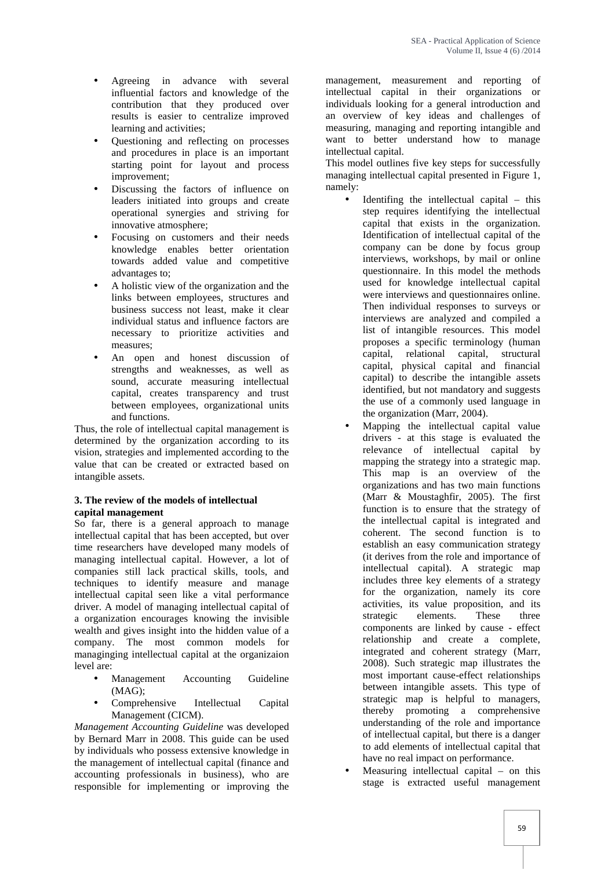- Agreeing in advance with several influential factors and knowledge of the contribution that they produced over results is easier to centralize improved learning and activities;
- Questioning and reflecting on processes and procedures in place is an important starting point for layout and process improvement;
- Discussing the factors of influence on leaders initiated into groups and create operational synergies and striving for innovative atmosphere;
- Focusing on customers and their needs knowledge enables better orientation towards added value and competitive advantages to;
- A holistic view of the organization and the links between employees, structures and business success not least, make it clear individual status and influence factors are necessary to prioritize activities and measures;
- An open and honest discussion of strengths and weaknesses, as well as sound, accurate measuring intellectual capital, creates transparency and trust between employees, organizational units and functions.

Thus, the role of intellectual capital management is determined by the organization according to its vision, strategies and implemented according to the value that can be created or extracted based on intangible assets.

#### **3. The review of the models of intellectual capital management**

So far, there is a general approach to manage intellectual capital that has been accepted, but over time researchers have developed many models of managing intellectual capital. However, a lot of companies still lack practical skills, tools, and techniques to identify measure and manage intellectual capital seen like a vital performance driver. A model of managing intellectual capital of a organization encourages knowing the invisible wealth and gives insight into the hidden value of a company. The most common models for managinging intellectual capital at the organizaion level are:

- Management Accounting Guideline (MAG);
- Comprehensive Intellectual Capital Management (CICM).

*Management Accounting Guideline* was developed by Bernard Marr in 2008. This guide can be used by individuals who possess extensive knowledge in the management of intellectual capital (finance and accounting professionals in business), who are responsible for implementing or improving the

management, measurement and reporting of intellectual capital in their organizations or individuals looking for a general introduction and an overview of key ideas and challenges of measuring, managing and reporting intangible and want to better understand how to manage intellectual capital.

This model outlines five key steps for successfully managing intellectual capital presented in Figure 1, namely:

- Identifing the intellectual capital this step requires identifying the intellectual capital that exists in the organization. Identification of intellectual capital of the company can be done by focus group interviews, workshops, by mail or online questionnaire. In this model the methods used for knowledge intellectual capital were interviews and questionnaires online. Then individual responses to surveys or interviews are analyzed and compiled a list of intangible resources. This model proposes a specific terminology (human capital, relational capital, structural capital, physical capital and financial capital) to describe the intangible assets identified, but not mandatory and suggests the use of a commonly used language in the organization (Marr, 2004).
- Mapping the intellectual capital value drivers - at this stage is evaluated the relevance of intellectual capital by mapping the strategy into a strategic map. This map is an overview of the organizations and has two main functions (Marr & Moustaghfir, 2005). The first function is to ensure that the strategy of the intellectual capital is integrated and coherent. The second function is to establish an easy communication strategy (it derives from the role and importance of intellectual capital). A strategic map includes three key elements of a strategy for the organization, namely its core activities, its value proposition, and its strategic elements. These three components are linked by cause - effect relationship and create a complete, integrated and coherent strategy (Marr, 2008). Such strategic map illustrates the most important cause-effect relationships between intangible assets. This type of strategic map is helpful to managers, thereby promoting a comprehensive understanding of the role and importance of intellectual capital, but there is a danger to add elements of intellectual capital that have no real impact on performance.
- Measuring intellectual capital on this stage is extracted useful management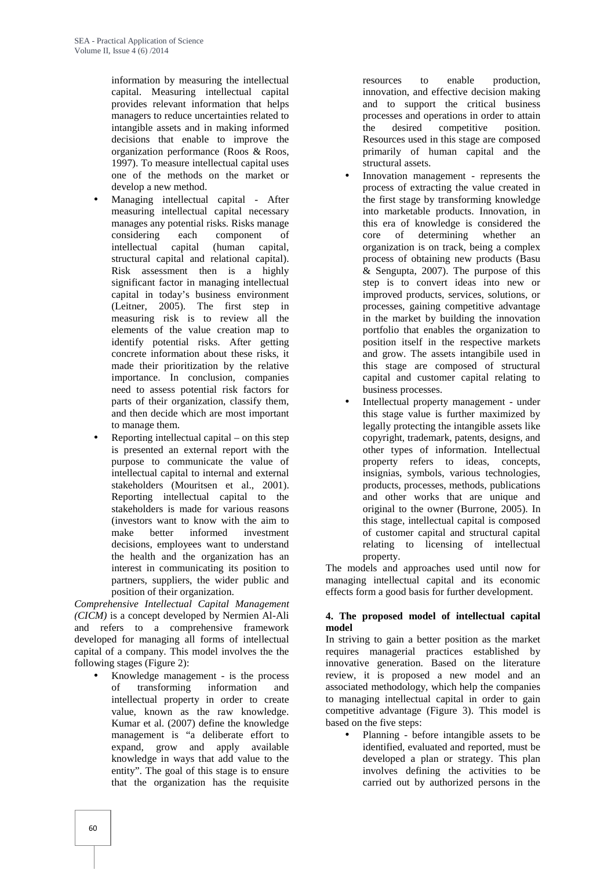information by measuring the intellectual capital. Measuring intellectual capital provides relevant information that helps managers to reduce uncertainties related to intangible assets and in making informed decisions that enable to improve the organization performance (Roos & Roos, 1997). To measure intellectual capital uses one of the methods on the market or develop a new method.

- Managing intellectual capital After measuring intellectual capital necessary manages any potential risks. Risks manage<br>considering each component of each component of intellectual capital (human capital, structural capital and relational capital). Risk assessment then is a highly significant factor in managing intellectual capital in today's business environment (Leitner, 2005). The first step in measuring risk is to review all the elements of the value creation map to identify potential risks. After getting concrete information about these risks, it made their prioritization by the relative importance. In conclusion, companies need to assess potential risk factors for parts of their organization, classify them, and then decide which are most important to manage them.
- Reporting intellectual capital on this step is presented an external report with the purpose to communicate the value of intellectual capital to internal and external stakeholders (Mouritsen et al., 2001). Reporting intellectual capital to the stakeholders is made for various reasons (investors want to know with the aim to make better informed investment decisions, employees want to understand the health and the organization has an interest in communicating its position to partners, suppliers, the wider public and position of their organization.

*Comprehensive Intellectual Capital Management (CICM)* is a concept developed by Nermien Al-Ali and refers to a comprehensive framework developed for managing all forms of intellectual capital of a company. This model involves the the following stages (Figure 2):

 Knowledge management - is the process of transforming information and intellectual property in order to create value, known as the raw knowledge. Kumar et al. (2007) define the knowledge management is "a deliberate effort to expand, grow and apply available knowledge in ways that add value to the entity". The goal of this stage is to ensure that the organization has the requisite

resources to enable production, innovation, and effective decision making and to support the critical business processes and operations in order to attain the desired competitive position. Resources used in this stage are composed primarily of human capital and the structural assets.

- Innovation management represents the process of extracting the value created in the first stage by transforming knowledge into marketable products. Innovation, in this era of knowledge is considered the core of determining whether an organization is on track, being a complex process of obtaining new products (Basu & Sengupta, 2007). The purpose of this step is to convert ideas into new or improved products, services, solutions, or processes, gaining competitive advantage in the market by building the innovation portfolio that enables the organization to position itself in the respective markets and grow. The assets intangibile used in this stage are composed of structural capital and customer capital relating to business processes.
- Intellectual property management under this stage value is further maximized by legally protecting the intangible assets like copyright, trademark, patents, designs, and other types of information. Intellectual property refers to ideas, concepts, insignias, symbols, various technologies, products, processes, methods, publications and other works that are unique and original to the owner (Burrone, 2005). In this stage, intellectual capital is composed of customer capital and structural capital relating to licensing of intellectual property.

The models and approaches used until now for managing intellectual capital and its economic effects form a good basis for further development.

## **4. The proposed model of intellectual capital model**

In striving to gain a better position as the market requires managerial practices established by innovative generation. Based on the literature review, it is proposed a new model and an associated methodology, which help the companies to managing intellectual capital in order to gain competitive advantage (Figure 3). This model is based on the five steps:

 Planning - before intangible assets to be identified, evaluated and reported, must be developed a plan or strategy. This plan involves defining the activities to be carried out by authorized persons in the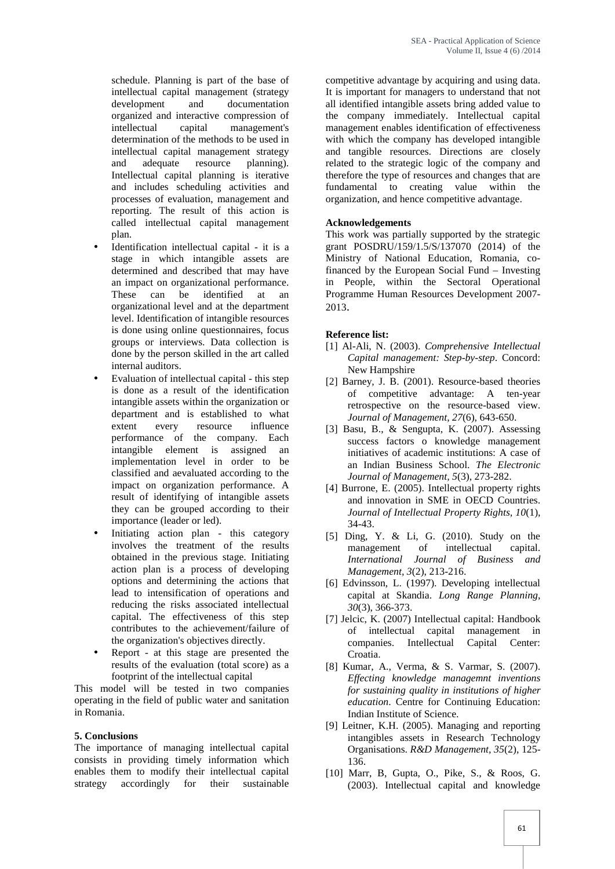schedule. Planning is part of the base of intellectual capital management (strategy development and documentation organized and interactive compression of intellectual capital management's determination of the methods to be used in intellectual capital management strategy<br>and adequate resource planning). and adequate resource planning). Intellectual capital planning is iterative and includes scheduling activities and processes of evaluation, management and reporting. The result of this action is called intellectual capital management plan.

- Identification intellectual capital it is a stage in which intangible assets are determined and described that may have an impact on organizational performance. These can be identified at an organizational level and at the department level. Identification of intangible resources is done using online questionnaires, focus groups or interviews. Data collection is done by the person skilled in the art called internal auditors.
- Evaluation of intellectual capital this step is done as a result of the identification intangible assets within the organization or department and is established to what extent every resource influence performance of the company. Each intangible element is assigned an implementation level in order to be classified and aevaluated according to the impact on organization performance. A result of identifying of intangible assets they can be grouped according to their importance (leader or led).
- Initiating action plan this category involves the treatment of the results obtained in the previous stage. Initiating action plan is a process of developing options and determining the actions that lead to intensification of operations and reducing the risks associated intellectual capital. The effectiveness of this step contributes to the achievement/failure of the organization's objectives directly.
- Report at this stage are presented the results of the evaluation (total score) as a footprint of the intellectual capital

This model will be tested in two companies operating in the field of public water and sanitation in Romania.

#### **5. Conclusions**

The importance of managing intellectual capital consists in providing timely information which enables them to modify their intellectual capital strategy accordingly for their sustainable

competitive advantage by acquiring and using data. It is important for managers to understand that not all identified intangible assets bring added value to the company immediately. Intellectual capital management enables identification of effectiveness with which the company has developed intangible and tangible resources. Directions are closely related to the strategic logic of the company and therefore the type of resources and changes that are fundamental to creating value within the organization, and hence competitive advantage.

## **Acknowledgements**

This work was partially supported by the strategic grant POSDRU/159/1.5/S/137070 (2014) of the Ministry of National Education, Romania, cofinanced by the European Social Fund – Investing in People, within the Sectoral Operational Programme Human Resources Development 2007- 2013.

## **Reference list:**

- [1] Al-Ali, N. (2003). *Comprehensive Intellectual Capital management: Step-by-step*. Concord: New Hampshire
- [2] Barney, J. B. (2001). Resource-based theories of competitive advantage: A ten-year retrospective on the resource-based view. *Journal of Management, 27*(6), 643-650.
- [3] Basu, B., & Sengupta, K. (2007). Assessing success factors o knowledge management initiatives of academic institutions: A case of an Indian Business School. *The Electronic Journal of Management, 5*(3), 273-282.
- [4] Burrone, E. (2005). Intellectual property rights and innovation in SME in OECD Countries. *Journal of Intellectual Property Rights, 10*(1), 34-43.
- [5] Ding, Y. & Li, G. (2010). Study on the management of intellectual capital. *International Journal of Business and Management, 3*(2), 213-216.
- [6] Edvinsson, L. (1997). Developing intellectual capital at Skandia. *Long Range Planning*, *30*(3), 366-373.
- [7] Jelcic, K. (2007) Intellectual capital: Handbook of intellectual capital management in companies. Intellectual Capital Center: Croatia.
- [8] Kumar, A., Verma, & S. Varmar, S. (2007). *Effecting knowledge managemnt inventions for sustaining quality in institutions of higher education*. Centre for Continuing Education: Indian Institute of Science.
- [9] Leitner, K.H. (2005). Managing and reporting intangibles assets in Research Technology Organisations. *R&D Management, 35*(2), 125- 136.
- [10] Marr, B, Gupta, O., Pike, S., & Roos, G. (2003). Intellectual capital and knowledge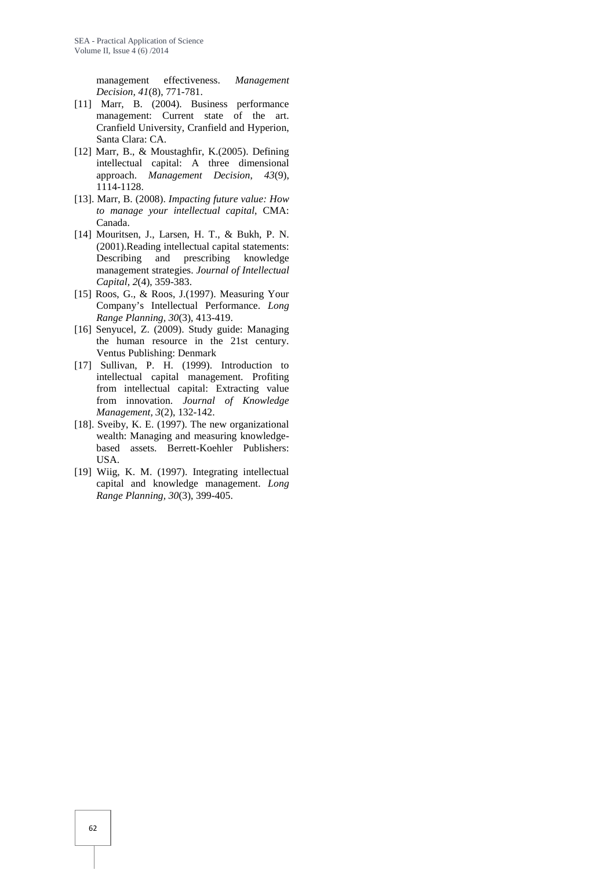management effectiveness. *Management Decision, 41*(8), 771-781.

- [11] Marr, B. (2004). Business performance management: Current state of the art. Cranfield University, Cranfield and Hyperion, Santa Clara: CA.
- [12] Marr, B., & Moustaghfir, K.(2005). Defining intellectual capital: A three dimensional approach. *Management Decision*, *43*(9), 1114-1128.
- [13]. Marr, B. (2008). *Impacting future value: How to manage your intellectual capital*, CMA: Canada.
- [14] Mouritsen, J., Larsen, H. T., & Bukh, P. N. (2001).Reading intellectual capital statements: Describing and prescribing knowledge management strategies. *Journal of Intellectual Capital, 2*(4), 359-383.
- [15] Roos, G., & Roos, J.(1997). Measuring Your Company's Intellectual Performance. *Long Range Planning, 30*(3), 413-419.
- [16] Senyucel, Z. (2009). Study guide: Managing the human resource in the 21st century. Ventus Publishing: Denmark
- [17] Sullivan, P. H. (1999). Introduction to intellectual capital management. Profiting from intellectual capital: Extracting value from innovation. *Journal of Knowledge Management, 3*(2), 132-142.
- [18]. Sveiby, K. E. (1997). The new organizational wealth: Managing and measuring knowledge based assets. Berrett-Koehler Publishers: USA.
- [19] Wiig, K. M. (1997). Integrating intellectual capital and knowledge management. *Long Range Planning, 30*(3), 399-405.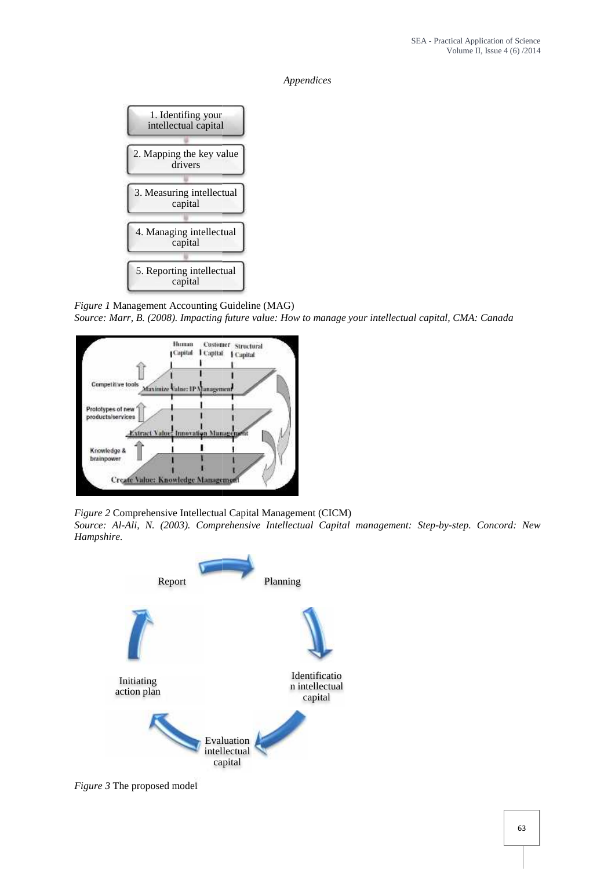*Appendices*



*Figure 1* Management Accounting Guideline (MAG) *Source: Marr, B. (2008). Impacting future value: How to manage your intellectual capital, CMA: Canada manage capital, CMA:* 



*Figure 2* Comprehensive Intellectual Capital Management (CICM)

*Source: Al-Ali, N. (2003). Comprehensive Intellectual Capital management: Step-by-step. Concord: New Hampshire.*



*Figure* 3 The proposed model